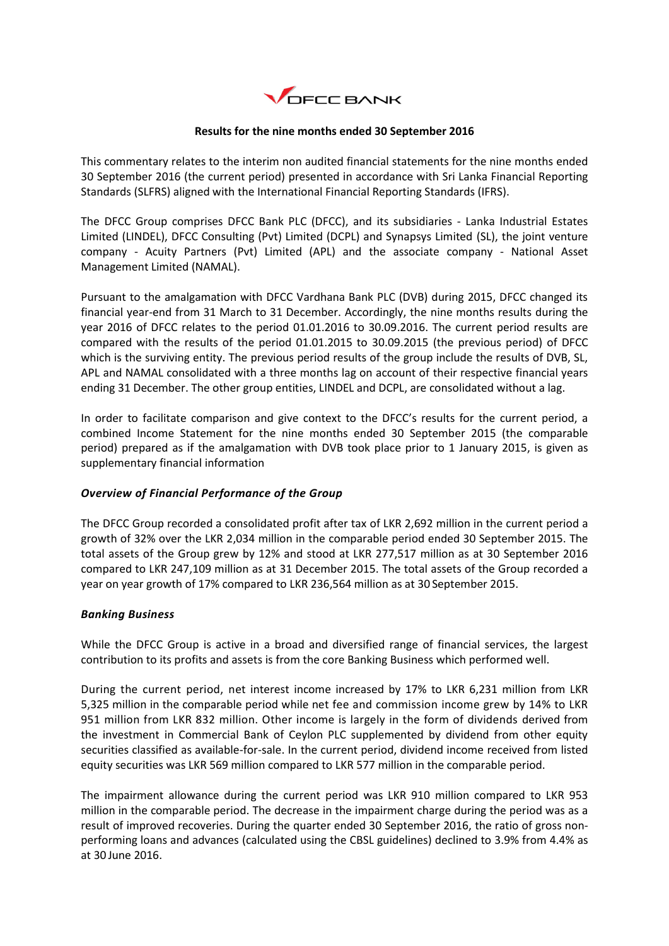

# **Results for the nine months ended 30 September 2016**

This commentary relates to the interim non audited financial statements for the nine months ended 30 September 2016 (the current period) presented in accordance with Sri Lanka Financial Reporting Standards (SLFRS) aligned with the International Financial Reporting Standards (IFRS).

The DFCC Group comprises DFCC Bank PLC (DFCC), and its subsidiaries - Lanka Industrial Estates Limited (LINDEL), DFCC Consulting (Pvt) Limited (DCPL) and Synapsys Limited (SL), the joint venture company - Acuity Partners (Pvt) Limited (APL) and the associate company - National Asset Management Limited (NAMAL).

Pursuant to the amalgamation with DFCC Vardhana Bank PLC (DVB) during 2015, DFCC changed its financial year-end from 31 March to 31 December. Accordingly, the nine months results during the year 2016 of DFCC relates to the period 01.01.2016 to 30.09.2016. The current period results are compared with the results of the period 01.01.2015 to 30.09.2015 (the previous period) of DFCC which is the surviving entity. The previous period results of the group include the results of DVB, SL, APL and NAMAL consolidated with a three months lag on account of their respective financial years ending 31 December. The other group entities, LINDEL and DCPL, are consolidated without a lag.

In order to facilitate comparison and give context to the DFCC's results for the current period, a combined Income Statement for the nine months ended 30 September 2015 (the comparable period) prepared as if the amalgamation with DVB took place prior to 1 January 2015, is given as supplementary financial information

# *Overview of Financial Performance of the Group*

The DFCC Group recorded a consolidated profit after tax of LKR 2,692 million in the current period a growth of 32% over the LKR 2,034 million in the comparable period ended 30 September 2015. The total assets of the Group grew by 12% and stood at LKR 277,517 million as at 30 September 2016 compared to LKR 247,109 million as at 31 December 2015. The total assets of the Group recorded a year on year growth of 17% compared to LKR 236,564 million as at 30 September 2015.

# *Banking Business*

While the DFCC Group is active in a broad and diversified range of financial services, the largest contribution to its profits and assets is from the core Banking Business which performed well.

During the current period, net interest income increased by 17% to LKR 6,231 million from LKR 5,325 million in the comparable period while net fee and commission income grew by 14% to LKR 951 million from LKR 832 million. Other income is largely in the form of dividends derived from the investment in Commercial Bank of Ceylon PLC supplemented by dividend from other equity securities classified as available-for-sale. In the current period, dividend income received from listed equity securities was LKR 569 million compared to LKR 577 million in the comparable period.

The impairment allowance during the current period was LKR 910 million compared to LKR 953 million in the comparable period. The decrease in the impairment charge during the period was as a result of improved recoveries. During the quarter ended 30 September 2016, the ratio of gross nonperforming loans and advances (calculated using the CBSL guidelines) declined to 3.9% from 4.4% as at 30 June 2016.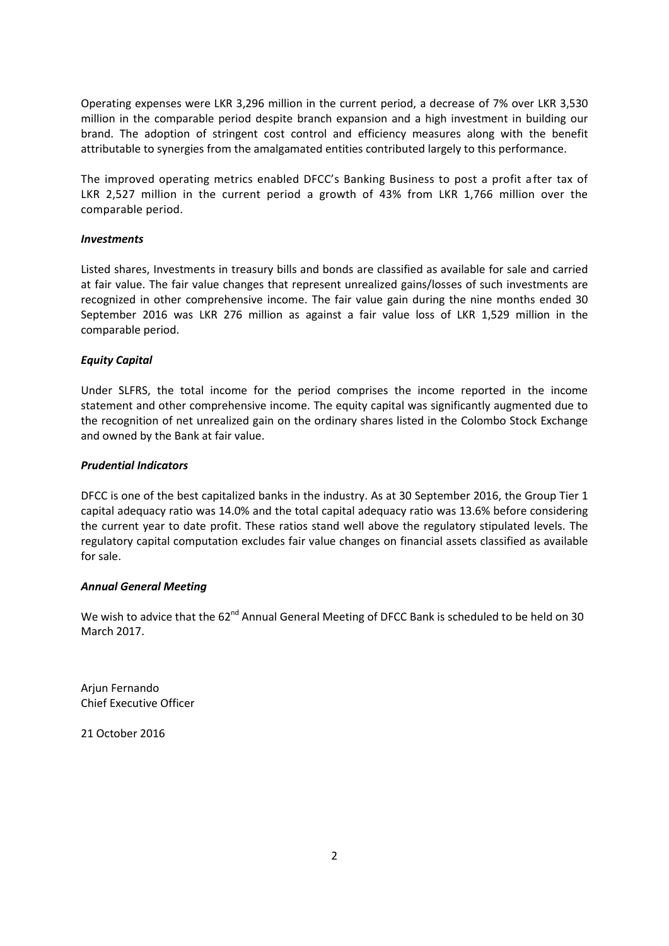Operating expenses were LKR 3,296 million in the current period, a decrease of 7% over LKR 3,530 million in the comparable period despite branch expansion and a high investment in building our brand. The adoption of stringent cost control and efficiency measures along with the benefit attributable to synergies from the amalgamated entities contributed largely to this performance.

The improved operating metrics enabled DFCC's Banking Business to post a profit after tax of LKR 2,527 million in the current period a growth of 43% from LKR 1,766 million over the comparable period.

# *Investments*

Listed shares, Investments in treasury bills and bonds are classified as available for sale and carried at fair value. The fair value changes that represent unrealized gains/losses of such investments are recognized in other comprehensive income. The fair value gain during the nine months ended 30 September 2016 was LKR 276 million as against a fair value loss of LKR 1,529 million in the comparable period.

## *Equity Capital*

Under SLFRS, the total income for the period comprises the income reported in the income statement and other comprehensive income. The equity capital was significantly augmented due to the recognition of net unrealized gain on the ordinary shares listed in the Colombo Stock Exchange and owned by the Bank at fair value.

## *Prudential Indicators*

DFCC is one of the best capitalized banks in the industry. As at 30 September 2016, the Group Tier 1 capital adequacy ratio was 14.0% and the total capital adequacy ratio was 13.6% before considering the current year to date profit. These ratios stand well above the regulatory stipulated levels. The regulatory capital computation excludes fair value changes on financial assets classified as available for sale.

## *Annual General Meeting*

We wish to advice that the 62<sup>nd</sup> Annual General Meeting of DFCC Bank is scheduled to be held on 30 March 2017.

Arjun Fernando Chief Executive Officer

21 October 2016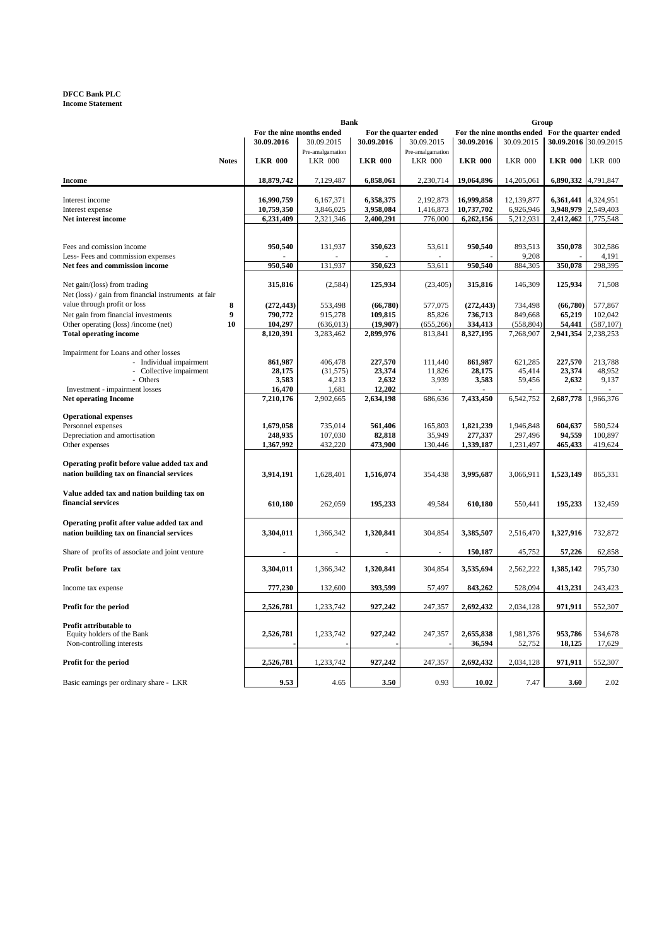### **DFCC Bank PLC Income Statement**

|                                                                |              |                | <b>Bank</b>               |                |                          |                | Group                                           |                       |                |
|----------------------------------------------------------------|--------------|----------------|---------------------------|----------------|--------------------------|----------------|-------------------------------------------------|-----------------------|----------------|
|                                                                |              |                | For the nine months ended |                | For the quarter ended    |                | For the nine months ended For the quarter ended |                       |                |
|                                                                |              | 30.09.2016     | 30.09.2015                | 30.09.2016     | 30.09.2015               | 30.09.2016     | 30.09.2015                                      | 30.09.2016 30.09.2015 |                |
|                                                                |              |                | Pre-amalgamation          |                | Pre-amalgamation         |                |                                                 |                       |                |
|                                                                | <b>Notes</b> | <b>LKR 000</b> | <b>LKR 000</b>            | <b>LKR 000</b> | <b>LKR 000</b>           | <b>LKR 000</b> | <b>LKR 000</b>                                  | <b>LKR 000</b>        | <b>LKR 000</b> |
| <b>Income</b>                                                  |              | 18,879,742     | 7,129,487                 | 6,858,061      | 2,230,714                | 19,064,896     | 14,205,061                                      | 6,890,332 4,791,847   |                |
|                                                                |              |                |                           |                |                          |                |                                                 |                       |                |
| Interest income                                                |              | 16,990,759     | 6,167,371                 | 6,358,375      | 2,192,873                | 16,999,858     | 12,139,877                                      | 6,361,441             | 4,324,951      |
| Interest expense                                               |              | 10,759,350     | 3,846,025                 | 3,958,084      | 1,416,873                | 10,737,702     | 6,926,946                                       | 3,948,979             | 2,549,403      |
| Net interest income                                            |              | 6,231,409      | 2,321,346                 | 2,400,291      | 776,000                  | 6,262,156      | 5,212,931                                       | 2,412,462 1,775,548   |                |
|                                                                |              |                |                           |                |                          |                |                                                 |                       |                |
|                                                                |              | 950,540        | 131,937                   | 350,623        |                          | 950,540        | 893,513                                         | 350,078               | 302,586        |
| Fees and comission income<br>Less-Fees and commission expenses |              |                |                           |                | 53,611                   |                | 9,208                                           |                       | 4,191          |
| Net fees and commission income                                 |              | 950,540        | 131,937                   | 350,623        | 53,611                   | 950,540        | 884,305                                         | 350,078               | 298,395        |
|                                                                |              |                |                           |                |                          |                |                                                 |                       |                |
| Net gain/(loss) from trading                                   |              | 315,816        | (2,584)                   | 125,934        | (23, 405)                | 315,816        | 146,309                                         | 125,934               | 71,508         |
| Net (loss) / gain from financial instruments at fair           |              |                |                           |                |                          |                |                                                 |                       |                |
| value through profit or loss                                   | 8            | (272, 443)     | 553,498                   | (66,780)       | 577,075                  | (272, 443)     | 734,498                                         | (66,780)              | 577,867        |
| Net gain from financial investments                            | 9            | 790,772        | 915,278                   | 109,815        | 85,826                   | 736,713        | 849,668                                         | 65,219                | 102,042        |
| Other operating (loss) /income (net)                           | 10           | 104,297        | (636, 013)                | (19,907)       | (655, 266)               | 334,413        | (558, 804)                                      | 54,441                | (587, 107)     |
| <b>Total operating income</b>                                  |              | 8,120,391      | 3,283,462                 | 2,899,976      | 813,841                  | 8,327,195      | 7,268,907                                       | 2,941,354             | 2,238,253      |
|                                                                |              |                |                           |                |                          |                |                                                 |                       |                |
| Impairment for Loans and other losses                          |              |                |                           |                |                          |                |                                                 |                       |                |
| - Individual impairment                                        |              | 861,987        | 406,478                   | 227,570        | 111,440                  | 861,987        | 621,285                                         | 227,570               | 213,788        |
| - Collective impairment                                        |              | 28,175         | (31, 575)                 | 23,374         | 11,826                   | 28,175         | 45,414                                          | 23,374                | 48.952         |
| - Others                                                       |              | 3,583          | 4,213                     | 2,632          | 3,939                    | 3,583          | 59,456                                          | 2,632                 | 9,137          |
| Investment - impairment losses                                 |              | 16,470         | 1,681                     | 12,202         |                          |                |                                                 |                       |                |
| <b>Net operating Income</b>                                    |              | 7,210,176      | 2,902,665                 | 2,634,198      | 686,636                  | 7,433,450      | 6,542,752                                       | 2,687,778             | 1,966,376      |
|                                                                |              |                |                           |                |                          |                |                                                 |                       |                |
| <b>Operational expenses</b>                                    |              |                |                           |                |                          |                |                                                 |                       |                |
| Personnel expenses                                             |              | 1,679,058      | 735,014                   | 561,406        | 165,803                  | 1,821,239      | 1,946,848                                       | 604,637               | 580,524        |
| Depreciation and amortisation                                  |              | 248,935        | 107,030                   | 82,818         | 35,949                   | 277,337        | 297,496                                         | 94,559                | 100,897        |
| Other expenses                                                 |              | 1,367,992      | 432,220                   | 473,900        | 130,446                  | 1,339,187      | 1,231,497                                       | 465,433               | 419,624        |
| Operating profit before value added tax and                    |              |                |                           |                |                          |                |                                                 |                       |                |
| nation building tax on financial services                      |              |                |                           |                |                          | 3,995,687      |                                                 |                       |                |
|                                                                |              | 3,914,191      | 1,628,401                 | 1,516,074      | 354,438                  |                | 3,066,911                                       | 1,523,149             | 865,331        |
| Value added tax and nation building tax on                     |              |                |                           |                |                          |                |                                                 |                       |                |
| financial services                                             |              |                |                           |                |                          |                |                                                 |                       |                |
|                                                                |              | 610,180        | 262,059                   | 195,233        | 49,584                   | 610,180        | 550,441                                         | 195,233               | 132,459        |
| Operating profit after value added tax and                     |              |                |                           |                |                          |                |                                                 |                       |                |
| nation building tax on financial services                      |              | 3,304,011      | 1,366,342                 | 1,320,841      | 304,854                  | 3,385,507      | 2,516,470                                       | 1,327,916             | 732,872        |
|                                                                |              |                |                           |                |                          |                |                                                 |                       |                |
| Share of profits of associate and joint venture                |              | $\blacksquare$ | $\sim$                    | $\blacksquare$ | $\overline{\phantom{a}}$ | 150,187        | 45,752                                          | 57,226                | 62,858         |
|                                                                |              |                |                           |                |                          |                |                                                 |                       |                |
| Profit before tax                                              |              | 3,304,011      | 1,366,342                 | 1,320,841      | 304,854                  | 3,535,694      | 2,562,222                                       | 1,385,142             | 795,730        |
| Income tax expense                                             |              | 777,230        | 132,600                   | 393,599        | 57,497                   | 843,262        | 528,094                                         | 413,231               | 243,423        |
| Profit for the period                                          |              | 2,526,781      | 1,233,742                 | 927,242        | 247,357                  | 2,692,432      | 2,034,128                                       | 971,911               | 552,307        |
|                                                                |              |                |                           |                |                          |                |                                                 |                       |                |
| Profit attributable to                                         |              |                |                           |                |                          |                |                                                 |                       |                |
| Equity holders of the Bank                                     |              | 2,526,781      | 1,233,742                 | 927,242        | 247,357                  | 2,655,838      | 1,981,376                                       | 953,786               | 534,678        |
| Non-controlling interests                                      |              |                |                           |                |                          | 36,594         | 52,752                                          | 18,125                | 17,629         |
|                                                                |              |                |                           |                |                          |                |                                                 |                       |                |
| Profit for the period                                          |              | 2,526,781      | 1,233,742                 | 927,242        | 247,357                  | 2,692,432      | 2,034,128                                       | 971,911               | 552,307        |
|                                                                |              |                |                           |                |                          |                |                                                 |                       |                |
| Basic earnings per ordinary share - LKR                        |              | 9.53           | 4.65                      | 3.50           | 0.93                     | 10.02          | 7.47                                            | 3.60                  | 2.02           |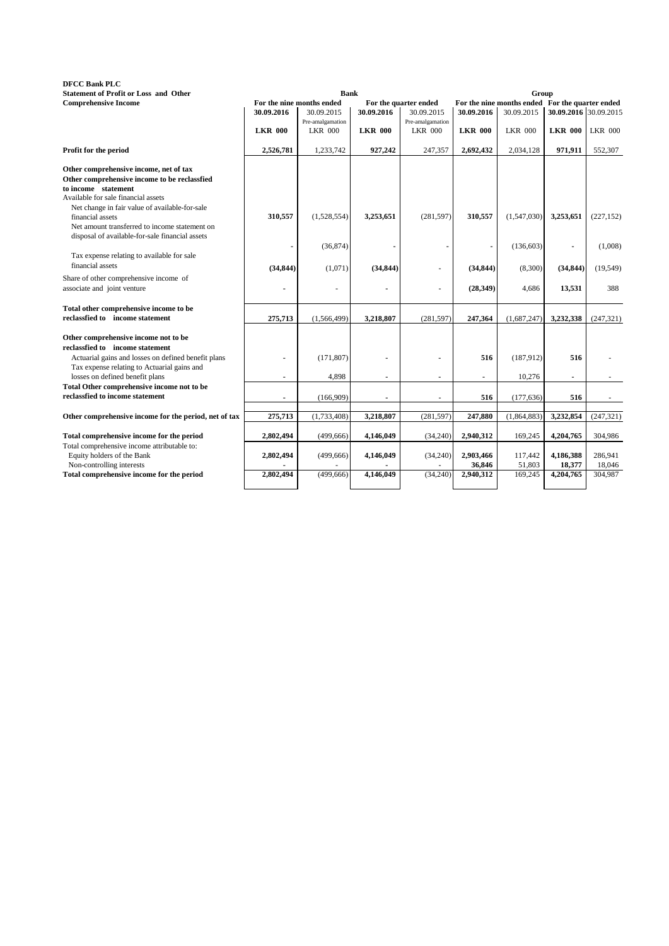## **DFCC Bank PLC Statement of Profit or Loss and Other**

| DFUU Bank PLU                                                                  |                |                           |                |                       |                |                                                 |                          |                |
|--------------------------------------------------------------------------------|----------------|---------------------------|----------------|-----------------------|----------------|-------------------------------------------------|--------------------------|----------------|
| <b>Statement of Profit or Loss and Other</b>                                   |                | <b>Bank</b>               |                |                       |                | Group                                           |                          |                |
| <b>Comprehensive Income</b>                                                    |                | For the nine months ended |                | For the quarter ended |                | For the nine months ended For the quarter ended |                          |                |
|                                                                                | 30.09.2016     | 30.09.2015                | 30.09.2016     | 30.09.2015            | 30.09.2016     | 30.09.2015                                      | 30.09.2016 30.09.2015    |                |
|                                                                                |                | Pre-amalgamation          |                | Pre-amalgamation      |                |                                                 |                          |                |
|                                                                                | <b>LKR 000</b> | <b>LKR 000</b>            | <b>LKR 000</b> | <b>LKR 000</b>        | <b>LKR 000</b> | <b>LKR 000</b>                                  | <b>LKR 000</b>           | <b>LKR 000</b> |
| Profit for the period                                                          | 2,526,781      | 1,233,742                 | 927,242        | 247,357               | 2,692,432      | 2,034,128                                       | 971,911                  | 552,307        |
| Other comprehensive income, net of tax                                         |                |                           |                |                       |                |                                                 |                          |                |
| Other comprehensive income to be reclassfied                                   |                |                           |                |                       |                |                                                 |                          |                |
| to income statement                                                            |                |                           |                |                       |                |                                                 |                          |                |
| Available for sale financial assets                                            |                |                           |                |                       |                |                                                 |                          |                |
| Net change in fair value of available-for-sale                                 |                |                           |                |                       |                |                                                 |                          |                |
| financial assets                                                               | 310,557        | (1,528,554)               | 3,253,651      | (281, 597)            | 310,557        | (1,547,030)                                     | 3,253,651                | (227, 152)     |
| Net amount transferred to income statement on                                  |                |                           |                |                       |                |                                                 |                          |                |
| disposal of available-for-sale financial assets                                |                |                           |                |                       |                |                                                 |                          |                |
|                                                                                |                | (36,874)                  |                |                       |                | (136,603)                                       | $\overline{\phantom{a}}$ | (1,008)        |
| Tax expense relating to available for sale                                     |                |                           |                |                       |                |                                                 |                          |                |
| financial assets                                                               |                |                           |                |                       |                |                                                 |                          |                |
|                                                                                | (34, 844)      | (1,071)                   | (34, 844)      |                       | (34, 844)      | (8,300)                                         | (34, 844)                | (19, 549)      |
| Share of other comprehensive income of                                         |                |                           |                |                       |                |                                                 |                          |                |
| associate and joint venture                                                    |                |                           | $\blacksquare$ |                       | (28, 349)      | 4,686                                           | 13,531                   | 388            |
| Total other comprehensive income to be                                         |                |                           |                |                       |                |                                                 |                          |                |
| reclassfied to income statement                                                | 275,713        | (1, 566, 499)             | 3,218,807      | (281, 597)            | 247,364        | (1,687,247)                                     | 3,232,338                | (247, 321)     |
|                                                                                |                |                           |                |                       |                |                                                 |                          |                |
| Other comprehensive income not to be                                           |                |                           |                |                       |                |                                                 |                          |                |
| reclassfied to income statement                                                |                |                           |                |                       |                |                                                 |                          |                |
|                                                                                |                | (171, 807)                |                |                       | 516            | (187, 912)                                      | 516                      |                |
| Actuarial gains and losses on defined benefit plans                            |                |                           |                |                       |                |                                                 |                          |                |
| Tax expense relating to Actuarial gains and<br>losses on defined benefit plans |                | 4,898                     |                |                       |                | 10,276                                          |                          |                |
|                                                                                |                |                           | $\blacksquare$ | $\blacksquare$        | $\blacksquare$ |                                                 | ٠                        |                |
| Total Other comprehensive income not to be<br>reclassfied to income statement  |                |                           |                |                       |                |                                                 |                          |                |
|                                                                                | $\blacksquare$ | (166,909)                 | $\blacksquare$ | $\sim$                | 516            | (177, 636)                                      | 516                      |                |
|                                                                                | 275,713        | (1,733,408)               |                |                       | 247,880        | (1,864,883)                                     | 3,232,854                | (247, 321)     |
| Other comprehensive income for the period, net of tax                          |                |                           | 3,218,807      | (281, 597)            |                |                                                 |                          |                |
| Total comprehensive income for the period                                      | 2,802,494      | (499, 666)                | 4,146,049      | (34, 240)             | 2,940,312      | 169,245                                         | 4,204,765                | 304,986        |
| Total comprehensive income attributable to:                                    |                |                           |                |                       |                |                                                 |                          |                |
|                                                                                |                |                           |                |                       | 2,903,466      |                                                 | 4,186,388                | 286,941        |
| Equity holders of the Bank                                                     | 2,802,494      | (499, 666)                | 4,146,049      | (34,240)              | 36,846         | 117,442                                         |                          | 18,046         |
| Non-controlling interests                                                      |                |                           |                |                       |                | 51,803                                          | 18,377                   |                |
| Total comprehensive income for the period                                      | 2,802,494      | (499, 666)                | 4,146,049      | (34,240)              | 2,940,312      | 169,245                                         | 4,204,765                | 304,987        |
|                                                                                |                |                           |                |                       |                |                                                 |                          |                |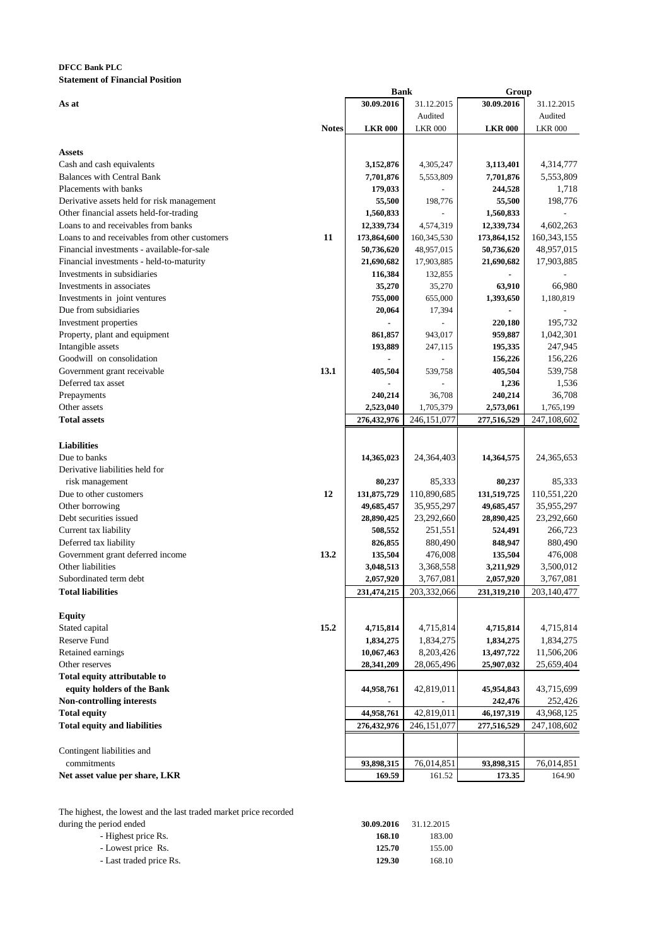## **DFCC Bank PLC Statement of Financial Position**

|                                               |              | <b>Bank</b>    |                | Group          |                |
|-----------------------------------------------|--------------|----------------|----------------|----------------|----------------|
| As at                                         |              | 30.09.2016     | 31.12.2015     | 30.09.2016     | 31.12.2015     |
|                                               |              |                | Audited        |                | Audited        |
|                                               | <b>Notes</b> | <b>LKR 000</b> | <b>LKR 000</b> | <b>LKR 000</b> | <b>LKR 000</b> |
|                                               |              |                |                |                |                |
| Assets                                        |              |                |                |                |                |
| Cash and cash equivalents                     |              | 3,152,876      | 4,305,247      | 3,113,401      | 4,314,777      |
| <b>Balances with Central Bank</b>             |              | 7,701,876      | 5,553,809      | 7,701,876      | 5,553,809      |
| Placements with banks                         |              | 179,033        |                | 244,528        | 1,718          |
| Derivative assets held for risk management    |              | 55,500         | 198,776        | 55,500         | 198,776        |
| Other financial assets held-for-trading       |              | 1,560,833      |                | 1,560,833      |                |
| Loans to and receivables from banks           |              | 12,339,734     | 4,574,319      | 12,339,734     | 4,602,263      |
| Loans to and receivables from other customers | 11           | 173,864,600    | 160, 345, 530  | 173,864,152    | 160, 343, 155  |
| Financial investments - available-for-sale    |              | 50,736,620     | 48,957,015     | 50,736,620     | 48,957,015     |
| Financial investments - held-to-maturity      |              | 21,690,682     | 17,903,885     |                |                |
| Investments in subsidiaries                   |              |                |                | 21,690,682     | 17,903,885     |
|                                               |              | 116,384        | 132,855        |                |                |
| Investments in associates                     |              | 35,270         | 35,270         | 63,910         | 66,980         |
| Investments in joint ventures                 |              | 755,000        | 655,000        | 1,393,650      | 1,180,819      |
| Due from subsidiaries                         |              | 20,064         | 17,394         |                |                |
| Investment properties                         |              |                |                | 220,180        | 195,732        |
| Property, plant and equipment                 |              | 861,857        | 943,017        | 959,887        | 1,042,301      |
| Intangible assets                             |              | 193,889        | 247,115        | 195,335        | 247,945        |
| Goodwill on consolidation                     |              |                |                | 156,226        | 156,226        |
| Government grant receivable                   | 13.1         | 405,504        | 539,758        | 405,504        | 539,758        |
| Deferred tax asset                            |              |                |                | 1,236          | 1,536          |
| Prepayments                                   |              | 240,214        | 36,708         | 240,214        | 36,708         |
| Other assets                                  |              | 2,523,040      | 1,705,379      | 2,573,061      | 1,765,199      |
| <b>Total assets</b>                           |              | 276,432,976    | 246,151,077    | 277,516,529    | 247,108,602    |
|                                               |              |                |                |                |                |
| <b>Liabilities</b>                            |              |                |                |                |                |
| Due to banks                                  |              | 14,365,023     | 24,364,403     | 14,364,575     | 24, 365, 653   |
| Derivative liabilities held for               |              |                |                |                |                |
| risk management                               |              | 80,237         | 85,333         | 80,237         | 85,333         |
| Due to other customers                        | 12           | 131,875,729    | 110,890,685    | 131,519,725    | 110,551,220    |
| Other borrowing                               |              | 49,685,457     | 35,955,297     | 49,685,457     | 35,955,297     |
| Debt securities issued                        |              | 28,890,425     | 23,292,660     | 28,890,425     | 23,292,660     |
| Current tax liability                         |              | 508,552        | 251,551        | 524,491        | 266,723        |
| Deferred tax liability                        |              | 826,855        | 880,490        | 848,947        | 880,490        |
| Government grant deferred income              | 13.2         | 135,504        | 476,008        | 135,504        | 476,008        |
| Other liabilities                             |              | 3,048,513      | 3,368,558      | 3,211,929      | 3,500,012      |
| Subordinated term debt                        |              | 2,057,920      | 3,767,081      | 2,057,920      | 3,767,081      |
| <b>Total liabilities</b>                      |              | 231,474,215    |                |                | 203,140,477    |
|                                               |              |                | 203,332,066    | 231,319,210    |                |
|                                               |              |                |                |                |                |
| <b>Equity</b>                                 |              |                |                |                |                |
| Stated capital                                | 15.2         | 4,715,814      | 4,715,814      | 4,715,814      | 4,715,814      |
| Reserve Fund                                  |              | 1,834,275      | 1,834,275      | 1,834,275      | 1,834,275      |
| Retained earnings                             |              | 10,067,463     | 8,203,426      | 13,497,722     | 11,506,206     |
| Other reserves                                |              | 28,341,209     | 28,065,496     | 25,907,032     | 25,659,404     |
| Total equity attributable to                  |              |                |                |                |                |
| equity holders of the Bank                    |              | 44,958,761     | 42,819,011     | 45,954,843     | 43,715,699     |
| <b>Non-controlling interests</b>              |              |                |                | 242,476        | 252,426        |
| <b>Total equity</b>                           |              | 44,958,761     | 42,819,011     | 46,197,319     | 43,968,125     |
| <b>Total equity and liabilities</b>           |              | 276,432,976    | 246,151,077    | 277,516,529    | 247,108,602    |
|                                               |              |                |                |                |                |
| Contingent liabilities and                    |              |                |                |                |                |
| commitments                                   |              | 93,898,315     | 76,014,851     | 93,898,315     | 76,014,851     |
| Net asset value per share, LKR                |              | 169.59         | 161.52         | 173.35         | 164.90         |
|                                               |              |                |                |                |                |

The highest, the lowest and the last traded market price recorded

| during the period ended | 30.09.2016 | 31.12.2015 |
|-------------------------|------------|------------|
| - Highest price Rs.     | 168.10     | 183.00     |
| - Lowest price Rs.      | 125.70     | 155.00     |
| - Last traded price Rs. | 129.30     | 168.10     |
|                         |            |            |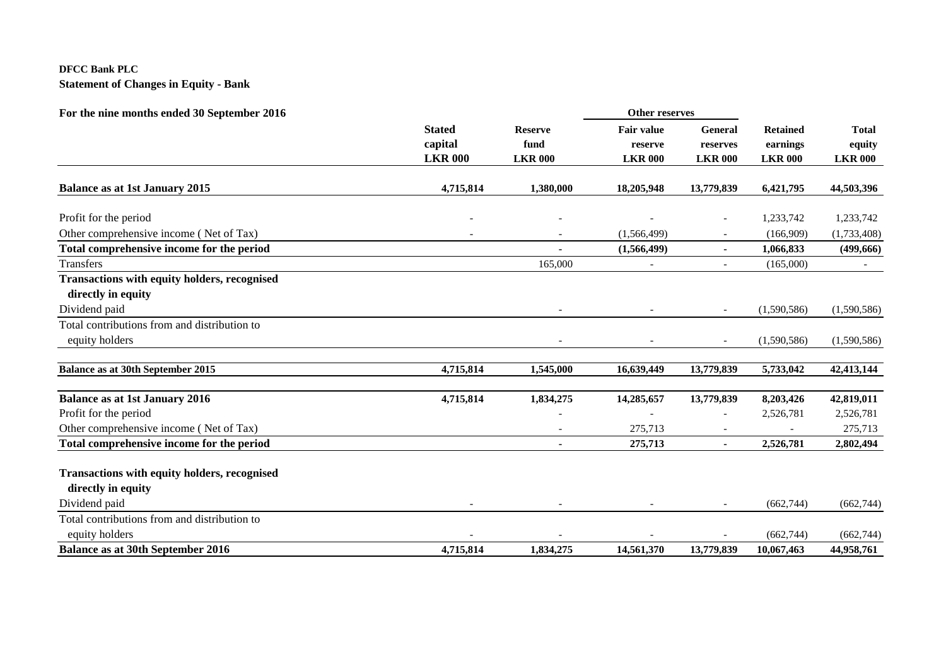# **DFCC Bank PLC Statement of Changes in Equity - Bank**

| For the nine months ended 30 September 2016         |                          |                          | <b>Other reserves</b>    |                          |                 |                |
|-----------------------------------------------------|--------------------------|--------------------------|--------------------------|--------------------------|-----------------|----------------|
|                                                     | <b>Stated</b>            | <b>Reserve</b>           | <b>Fair value</b>        | General                  | <b>Retained</b> | <b>Total</b>   |
|                                                     | capital                  | fund                     | reserve                  | reserves                 | earnings        | equity         |
|                                                     | <b>LKR 000</b>           | <b>LKR 000</b>           | <b>LKR 000</b>           | <b>LKR 000</b>           | <b>LKR 000</b>  | <b>LKR 000</b> |
| <b>Balance as at 1st January 2015</b>               | 4,715,814                | 1,380,000                | 18,205,948               | 13,779,839               | 6,421,795       | 44,503,396     |
| Profit for the period                               |                          |                          |                          | $\overline{\phantom{a}}$ | 1,233,742       | 1,233,742      |
| Other comprehensive income (Net of Tax)             |                          | $\overline{\phantom{a}}$ | (1, 566, 499)            | $\overline{\phantom{a}}$ | (166,909)       | (1,733,408)    |
| Total comprehensive income for the period           |                          |                          | (1,566,499)              | $\blacksquare$           | 1,066,833       | (499, 666)     |
| <b>Transfers</b>                                    |                          | 165,000                  | $\overline{\phantom{a}}$ | $\overline{\phantom{a}}$ | (165,000)       | $\sim$         |
| <b>Transactions with equity holders, recognised</b> |                          |                          |                          |                          |                 |                |
| directly in equity                                  |                          |                          |                          |                          |                 |                |
| Dividend paid                                       |                          |                          |                          |                          | (1,590,586)     | (1,590,586)    |
| Total contributions from and distribution to        |                          |                          |                          |                          |                 |                |
| equity holders                                      |                          |                          |                          | $\overline{\phantom{a}}$ | (1,590,586)     | (1,590,586)    |
| <b>Balance as at 30th September 2015</b>            | 4,715,814                | 1,545,000                | 16,639,449               | 13,779,839               | 5,733,042       | 42,413,144     |
| <b>Balance as at 1st January 2016</b>               | 4,715,814                | 1,834,275                | 14,285,657               | 13,779,839               | 8,203,426       | 42,819,011     |
| Profit for the period                               |                          |                          |                          |                          | 2,526,781       | 2,526,781      |
| Other comprehensive income (Net of Tax)             |                          |                          | 275,713                  |                          |                 | 275,713        |
| Total comprehensive income for the period           |                          | $\blacksquare$           | 275,713                  | $\blacksquare$           | 2,526,781       | 2,802,494      |
| <b>Transactions with equity holders, recognised</b> |                          |                          |                          |                          |                 |                |
| directly in equity                                  |                          |                          |                          |                          |                 |                |
| Dividend paid                                       | $\overline{\phantom{a}}$ | $\overline{\phantom{a}}$ | $\overline{\phantom{a}}$ | $\sim$                   | (662,744)       | (662, 744)     |
| Total contributions from and distribution to        |                          |                          |                          |                          |                 |                |
| equity holders                                      |                          |                          |                          |                          | (662, 744)      | (662,744)      |
| <b>Balance as at 30th September 2016</b>            | 4,715,814                | 1,834,275                | 14,561,370               | 13,779,839               | 10.067.463      | 44,958,761     |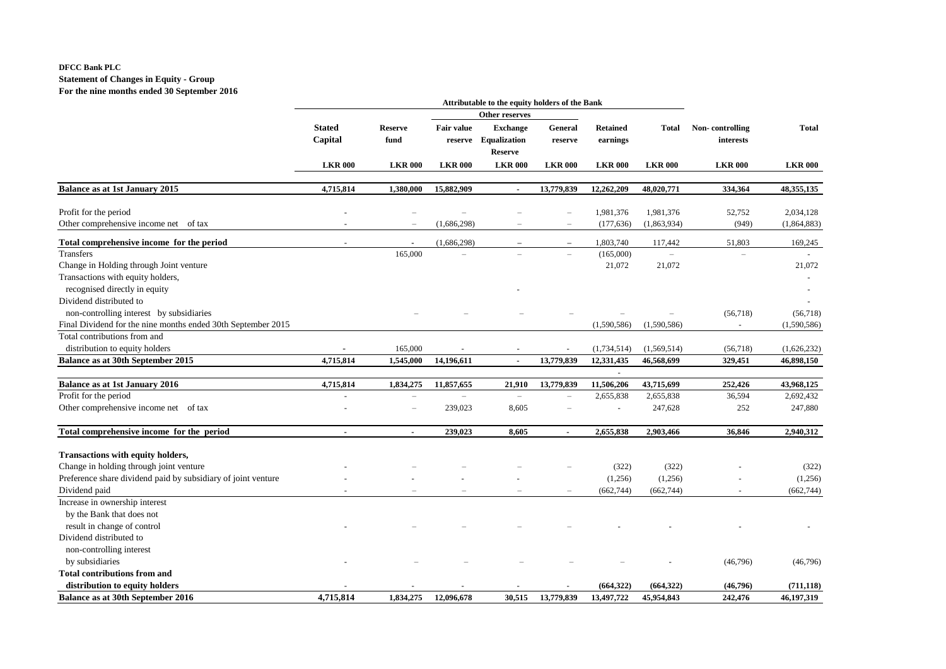## **DFCC Bank PLC Statement of Changes in Equity - Group For the nine months ended 30 September 2016**

|                                                               |                          |                          |                          | Attributable to the equity holders of the Bank            |                          |                              |                |                              |                |
|---------------------------------------------------------------|--------------------------|--------------------------|--------------------------|-----------------------------------------------------------|--------------------------|------------------------------|----------------|------------------------------|----------------|
|                                                               |                          |                          |                          | Other reserves                                            |                          |                              |                |                              |                |
|                                                               | <b>Stated</b><br>Capital | <b>Reserve</b><br>fund   | <b>Fair value</b>        | <b>Exchange</b><br>reserve Equalization<br><b>Reserve</b> | General<br>reserve       | <b>Retained</b><br>earnings  | <b>Total</b>   | Non-controlling<br>interests | <b>Total</b>   |
|                                                               |                          |                          |                          |                                                           |                          |                              |                |                              |                |
|                                                               | <b>LKR 000</b>           | <b>LKR 000</b>           | <b>LKR 000</b>           | <b>LKR 000</b>                                            | <b>LKR 000</b>           | <b>LKR 000</b>               | <b>LKR 000</b> | <b>LKR000</b>                | <b>LKR 000</b> |
| <b>Balance as at 1st January 2015</b>                         | 4,715,814                | 1,380,000                | 15,882,909               | $\blacksquare$                                            | 13,779,839               | 12,262,209                   | 48,020,771     | 334,364                      | 48,355,135     |
| Profit for the period                                         |                          |                          |                          |                                                           |                          | 1,981,376                    | 1,981,376      | 52,752                       | 2,034,128      |
| Other comprehensive income net of tax                         |                          | $\overline{\phantom{0}}$ | (1,686,298)              |                                                           | $\overline{\phantom{0}}$ | (177, 636)                   | (1,863,934)    | (949)                        | (1,864,883)    |
| Total comprehensive income for the period                     |                          | $\overline{\phantom{a}}$ | (1,686,298)              |                                                           |                          | 1,803,740                    | 117,442        | 51,803                       | 169,245        |
| Transfers                                                     |                          | 165,000                  |                          |                                                           |                          | (165,000)                    |                |                              |                |
| Change in Holding through Joint venture                       |                          |                          |                          |                                                           |                          | 21,072                       | 21,072         |                              | 21,072         |
| Transactions with equity holders,                             |                          |                          |                          |                                                           |                          |                              |                |                              |                |
| recognised directly in equity                                 |                          |                          |                          |                                                           |                          |                              |                |                              |                |
| Dividend distributed to                                       |                          |                          |                          |                                                           |                          |                              |                |                              |                |
| non-controlling interest by subsidiaries                      |                          |                          |                          |                                                           |                          |                              |                | (56,718)                     | (56,718)       |
| Final Dividend for the nine months ended 30th September 2015  |                          |                          |                          |                                                           |                          | (1,590,586)                  | (1,590,586)    | $\sim$                       | (1,590,586)    |
| Total contributions from and                                  |                          |                          |                          |                                                           |                          |                              |                |                              |                |
| distribution to equity holders                                |                          | 165,000                  |                          |                                                           |                          | (1,734,514)                  | (1,569,514)    | (56,718)                     | (1,626,232)    |
| Balance as at 30th September 2015                             | 4,715,814                | 1,545,000                | 14,196,611               | $\tilde{\phantom{a}}$                                     | 13,779,839               | 12,331,435                   | 46,568,699     | 329,451                      | 46,898,150     |
| <b>Balance as at 1st January 2016</b>                         | 4,715,814                | 1,834,275                | 11,857,655               | 21,910                                                    | 13,779,839               | $\blacksquare$<br>11,506,206 | 43,715,699     | 252,426                      | 43,968,125     |
| Profit for the period                                         |                          | $\overline{\phantom{0}}$ | $\overline{\phantom{a}}$ | $\overline{\phantom{0}}$                                  |                          | 2,655,838                    | 2,655,838      | 36,594                       | 2,692,432      |
| Other comprehensive income net of tax                         |                          | $\overline{\phantom{0}}$ | 239,023                  | 8,605                                                     |                          | $\overline{\phantom{a}}$     | 247,628        | 252                          | 247,880        |
|                                                               |                          |                          |                          |                                                           |                          |                              |                |                              |                |
| Total comprehensive income for the period                     | $\blacksquare$           | $\blacksquare$           | 239,023                  | 8,605                                                     | $\blacksquare$           | 2,655,838                    | 2,903,466      | 36,846                       | 2,940,312      |
| <b>Transactions with equity holders,</b>                      |                          |                          |                          |                                                           |                          |                              |                |                              |                |
| Change in holding through joint venture                       |                          |                          |                          |                                                           |                          | (322)                        | (322)          |                              | (322)          |
| Preference share dividend paid by subsidiary of joint venture |                          |                          |                          |                                                           |                          | (1,256)                      | (1,256)        |                              | (1,256)        |
| Dividend paid                                                 |                          |                          |                          |                                                           |                          | (662, 744)                   | (662, 744)     |                              | (662, 744)     |
| Increase in ownership interest                                |                          |                          |                          |                                                           |                          |                              |                |                              |                |
| by the Bank that does not                                     |                          |                          |                          |                                                           |                          |                              |                |                              |                |
| result in change of control                                   |                          |                          |                          |                                                           |                          |                              |                |                              |                |
| Dividend distributed to                                       |                          |                          |                          |                                                           |                          |                              |                |                              |                |
| non-controlling interest                                      |                          |                          |                          |                                                           |                          |                              |                |                              |                |
| by subsidiaries                                               |                          |                          |                          |                                                           |                          |                              |                | (46,796)                     | (46,796)       |
| <b>Total contributions from and</b>                           |                          |                          |                          |                                                           |                          |                              |                |                              |                |
| distribution to equity holders                                |                          |                          |                          |                                                           |                          | (664, 322)                   | (664, 322)     | (46,796)                     | (711, 118)     |
| Balance as at 30th September 2016                             | 4,715,814                | 1,834,275                | 12,096,678               | 30,515                                                    | 13,779,839               | 13,497,722                   | 45,954,843     | 242,476                      | 46,197,319     |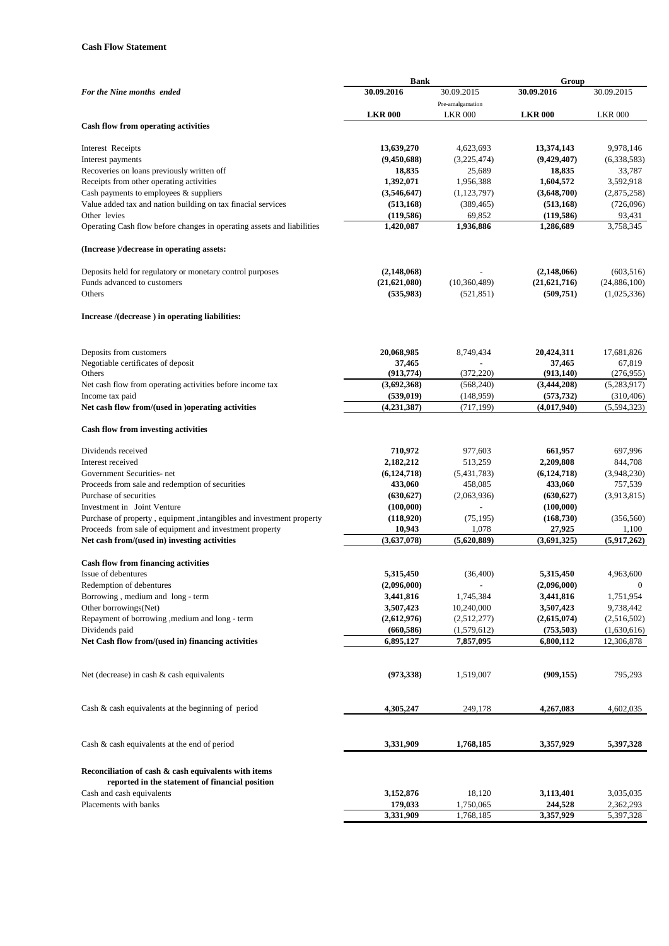## **Cash Flow Statement**

|                                                                              | <b>Bank</b>               |                          | Group                     |                           |
|------------------------------------------------------------------------------|---------------------------|--------------------------|---------------------------|---------------------------|
| For the Nine months ended                                                    | 30.09.2016                | 30.09.2015               | 30.09.2016                | 30.09.2015                |
|                                                                              |                           | Pre-amalgamation         |                           |                           |
|                                                                              | <b>LKR 000</b>            | <b>LKR 000</b>           | <b>LKR 000</b>            | <b>LKR 000</b>            |
| Cash flow from operating activities                                          |                           |                          |                           |                           |
|                                                                              |                           |                          |                           |                           |
| Interest Receipts                                                            | 13,639,270                | 4,623,693                | 13,374,143                | 9,978,146                 |
| Interest payments                                                            | (9,450,688)               | (3,225,474)              | (9,429,407)               | (6,338,583)               |
| Recoveries on loans previously written off                                   | 18,835                    | 25,689                   | 18,835                    | 33,787                    |
| Receipts from other operating activities                                     | 1,392,071                 | 1,956,388                | 1,604,572                 | 3,592,918                 |
| Cash payments to employees $\&$ suppliers                                    | (3,546,647)               | (1, 123, 797)            | (3,648,700)               | (2,875,258)               |
| Value added tax and nation building on tax finacial services                 | (513, 168)                | (389, 465)               | (513, 168)                | (726,096)                 |
| Other levies                                                                 | (119, 586)                | 69,852                   | (119, 586)                | 93,431                    |
| Operating Cash flow before changes in operating assets and liabilities       | 1,420,087                 | 1,936,886                | 1,286,689                 | 3,758,345                 |
| (Increase)/decrease in operating assets:                                     |                           |                          |                           |                           |
| Deposits held for regulatory or monetary control purposes                    | (2,148,068)               |                          | (2,148,066)               | (603, 516)                |
| Funds advanced to customers                                                  | (21,621,080)              | (10,360,489)             | (21, 621, 716)            | (24,886,100)              |
| Others                                                                       | (535,983)                 | (521, 851)               | (509, 751)                | (1,025,336)               |
| Increase /(decrease) in operating liabilities:                               |                           |                          |                           |                           |
|                                                                              |                           |                          |                           |                           |
| Deposits from customers                                                      | 20,068,985                | 8,749,434                | 20,424,311                | 17,681,826                |
| Negotiable certificates of deposit<br>Others                                 | 37,465                    | (372, 220)               | 37,465                    | 67,819                    |
|                                                                              | (913, 774)<br>(3,692,368) | (568, 240)               | (913, 140)<br>(3,444,208) | (276, 955)                |
| Net cash flow from operating activities before income tax<br>Income tax paid | (539, 019)                | (148,959)                | (573, 732)                | (5,283,917)<br>(310, 406) |
| Net cash flow from/(used in )operating activities                            | (4,231,387)               | (717, 199)               | (4,017,940)               | (5,594,323)               |
|                                                                              |                           |                          |                           |                           |
| Cash flow from investing activities                                          |                           |                          |                           |                           |
| Dividends received                                                           | 710,972                   | 977,603                  | 661,957                   | 697,996                   |
| Interest received                                                            | 2,182,212                 | 513,259                  | 2,209,808                 | 844,708                   |
| Government Securities- net                                                   | (6,124,718)               | (5,431,783)              | (6,124,718)               | (3,948,230)               |
| Proceeds from sale and redemption of securities                              | 433,060                   | 458,085                  | 433,060                   | 757,539                   |
| Purchase of securities                                                       | (630, 627)                | (2,063,936)              | (630, 627)                | (3,913,815)               |
| Investment in Joint Venture                                                  | (100,000)                 | ٠                        | (100,000)                 |                           |
| Purchase of property, equipment, intangibles and investment property         | (118,920)                 | (75, 195)                | (168, 730)                | (356, 560)                |
| Proceeds from sale of equipment and investment property                      | 10,943                    | 1,078                    | 27,925                    | 1,100                     |
| Net cash from/(used in) investing activities                                 | (3,637,078)               | (5,620,889)              | (3,691,325)               | (5,917,262)               |
| <b>Cash flow from financing activities</b>                                   |                           |                          |                           |                           |
| Issue of debentures                                                          | 5,315,450                 | (36, 400)                | 5,315,450                 | 4.963.600                 |
| Redemption of debentures                                                     | (2,096,000)               | $\overline{\phantom{a}}$ | (2,096,000)               | $\bf{0}$                  |
| Borrowing, medium and long - term                                            | 3,441,816                 | 1,745,384                | 3,441,816                 | 1,751,954                 |
| Other borrowings(Net)                                                        | 3,507,423                 | 10,240,000               | 3,507,423                 | 9,738,442                 |
| Repayment of borrowing , medium and long - term                              | (2,612,976)               | (2,512,277)              | (2,615,074)               | (2,516,502)               |
| Dividends paid                                                               | (660, 586)                | (1,579,612)              | (753, 503)                | (1,630,616)               |
| Net Cash flow from/(used in) financing activities                            | 6,895,127                 | 7,857,095                | 6,800,112                 | 12,306,878                |
|                                                                              |                           |                          |                           |                           |
| Net (decrease) in cash $\&$ cash equivalents                                 | (973, 338)                | 1,519,007                | (909, 155)                | 795,293                   |
| Cash $\&$ cash equivalents at the beginning of period                        | 4,305,247                 | 249,178                  | 4,267,083                 | 4,602,035                 |
|                                                                              |                           |                          |                           |                           |
| Cash $\&$ cash equivalents at the end of period                              | 3,331,909                 | 1,768,185                | 3,357,929                 | 5,397,328                 |
| Reconciliation of cash & cash equivalents with items                         |                           |                          |                           |                           |
| reported in the statement of financial position                              |                           |                          |                           |                           |
| Cash and cash equivalents                                                    | 3,152,876                 | 18,120                   | 3,113,401                 | 3,035,035                 |
| Placements with banks                                                        | 179,033                   | 1,750,065                | 244,528                   | 2,362,293                 |
|                                                                              | 3,331,909                 | 1,768,185                | 3,357,929                 | 5,397,328                 |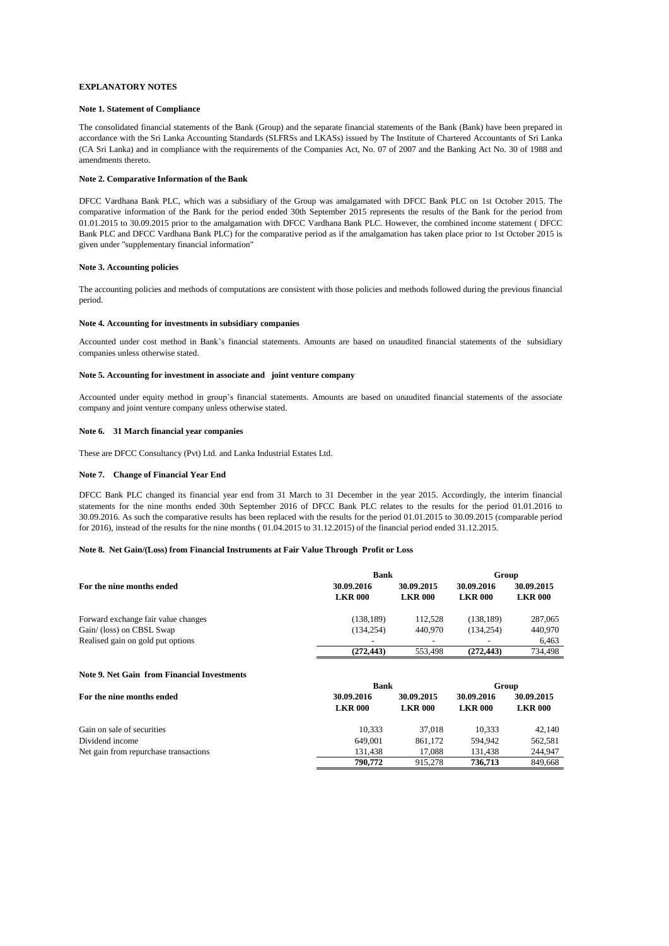### **EXPLANATORY NOTES**

#### **Note 1. Statement of Compliance**

The consolidated financial statements of the Bank (Group) and the separate financial statements of the Bank (Bank) have been prepared in accordance with the Sri Lanka Accounting Standards (SLFRSs and LKASs) issued by The Institute of Chartered Accountants of Sri Lanka (CA Sri Lanka) and in compliance with the requirements of the Companies Act, No. 07 of 2007 and the Banking Act No. 30 of 1988 and amendments thereto.

### **Note 2. Comparative Information of the Bank**

DFCC Vardhana Bank PLC, which was a subsidiary of the Group was amalgamated with DFCC Bank PLC on 1st October 2015. The comparative information of the Bank for the period ended 30th September 2015 represents the results of the Bank for the period from 01.01.2015 to 30.09.2015 prior to the amalgamation with DFCC Vardhana Bank PLC. However, the combined income statement ( DFCC Bank PLC and DFCC Vardhana Bank PLC) for the comparative period as if the amalgamation has taken place prior to 1st October 2015 is given under "supplementary financial information"

#### **Note 3. Accounting policies**

The accounting policies and methods of computations are consistent with those policies and methods followed during the previous financial period.

#### **Note 4. Accounting for investments in subsidiary companies**

Accounted under cost method in Bank's financial statements. Amounts are based on unaudited financial statements of the subsidiary companies unless otherwise stated.

## **Note 5. Accounting for investment in associate and joint venture company**

Accounted under equity method in group's financial statements. Amounts are based on unaudited financial statements of the associate company and joint venture company unless otherwise stated.

#### **Note 6. 31 March financial year companies**

These are DFCC Consultancy (Pvt) Ltd. and Lanka Industrial Estates Ltd.

#### **Note 7. Change of Financial Year End**

DFCC Bank PLC changed its financial year end from 31 March to 31 December in the year 2015. Accordingly, the interim financial statements for the nine months ended 30th September 2016 of DFCC Bank PLC relates to the results for the period 01.01.2016 to 30.09.2016. As such the comparative results has been replaced with the results for the period 01.01.2015 to 30.09.2015 (comparable period for 2016), instead of the results for the nine months ( 01.04.2015 to 31.12.2015) of the financial period ended 31.12.2015.

## **Note 8. Net Gain/(Loss) from Financial Instruments at Fair Value Through Profit or Loss**

|                                     | <b>Bank</b>                  | Group                        |                              |                              |
|-------------------------------------|------------------------------|------------------------------|------------------------------|------------------------------|
| For the nine months ended           | 30.09.2016<br><b>LKR 000</b> | 30.09.2015<br><b>LKR 000</b> | 30.09.2016<br><b>LKR 000</b> | 30.09.2015<br><b>LKR 000</b> |
| Forward exchange fair value changes | (138, 189)                   | 112.528                      | (138.189)                    | 287,065                      |
| Gain/ (loss) on CBSL Swap           | (134.254)                    | 440,970                      | (134.254)                    | 440,970                      |
| Realised gain on gold put options   | -                            |                              |                              | 6.463                        |
|                                     | (272.443)                    | 553.498                      | (272.443)                    | 734.498                      |

### **Note 9. Net Gain from Financial Investments**

|                                       | <b>Bank</b>                  | Group                        |                              |                              |
|---------------------------------------|------------------------------|------------------------------|------------------------------|------------------------------|
| For the nine months ended             | 30.09.2016<br><b>LKR 000</b> | 30.09.2015<br><b>LKR 000</b> | 30.09.2016<br><b>LKR 000</b> | 30.09.2015<br><b>LKR 000</b> |
| Gain on sale of securities            | 10.333                       | 37,018                       | 10.333                       | 42,140                       |
| Dividend income                       | 649,001                      | 861.172                      | 594,942                      | 562.581                      |
| Net gain from repurchase transactions | 131.438                      | 17.088                       | 131.438                      | 244,947                      |
|                                       | 790,772                      | 915,278                      | 736,713                      | 849.668                      |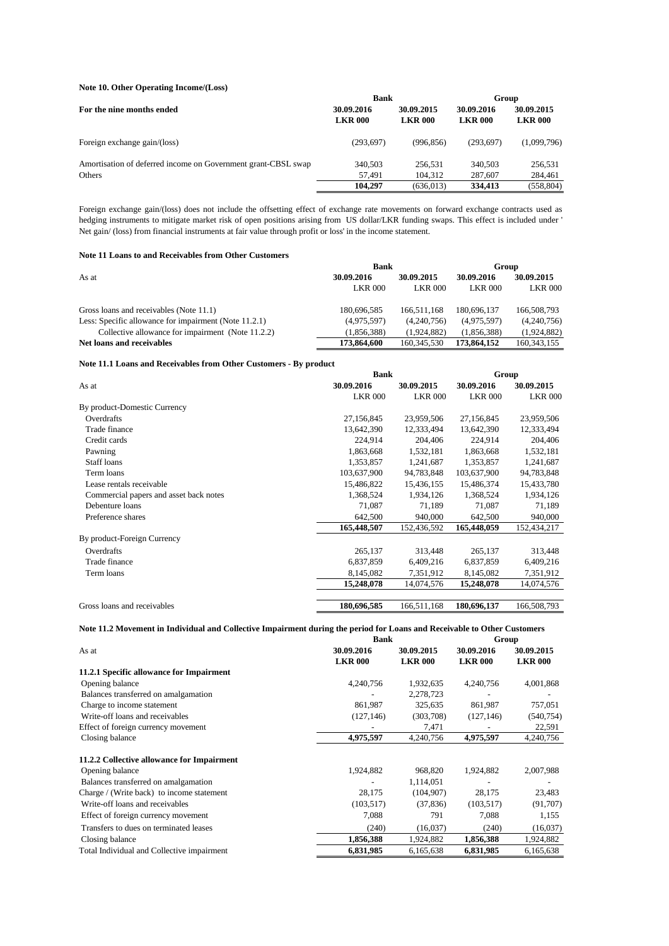## **Note 10. Other Operating Income/(Loss)**

|                                                               | <b>Bank</b>                  |                              | Group                        |                              |  |
|---------------------------------------------------------------|------------------------------|------------------------------|------------------------------|------------------------------|--|
| For the nine months ended                                     | 30.09.2016<br><b>LKR 000</b> | 30.09.2015<br><b>LKR 000</b> | 30.09.2016<br><b>LKR 000</b> | 30.09.2015<br><b>LKR 000</b> |  |
| Foreign exchange gain/(loss)                                  | (293, 697)                   | (996, 856)                   | (293.697)                    | (1,099,796)                  |  |
| Amortisation of deferred income on Government grant-CBSL swap | 340,503                      | 256.531                      | 340,503                      | 256,531                      |  |
| Others                                                        | 57.491                       | 104,312                      | 287,607                      | 284,461                      |  |
|                                                               | 104.297                      | (636, 013)                   | 334,413                      | (558, 804)                   |  |

Foreign exchange gain/(loss) does not include the offsetting effect of exchange rate movements on forward exchange contracts used as hedging instruments to mitigate market risk of open positions arising from US dollar/LKR funding swaps. This effect is included under ' Net gain/ (loss) from financial instruments at fair value through profit or loss' in the income statement.

## **Note 11 Loans to and Receivables from Other Customers**

|                                                       | Bank           | Group          |                |                |  |
|-------------------------------------------------------|----------------|----------------|----------------|----------------|--|
| As at                                                 | 30.09.2016     | 30.09.2015     | 30.09.2016     | 30.09.2015     |  |
|                                                       | <b>LKR 000</b> | <b>LKR 000</b> | <b>LKR 000</b> | <b>LKR 000</b> |  |
| Gross loans and receivables (Note 11.1)               | 180,696,585    | 166.511.168    | 180,696,137    | 166,508,793    |  |
| Less: Specific allowance for impairment (Note 11.2.1) | (4,975,597)    | (4.240.756)    | (4,975,597)    | (4,240,756)    |  |
| Collective allowance for impairment (Note 11.2.2)     | (1.856.388)    | (1.924.882)    | (1.856.388)    | (1,924,882)    |  |
| Net loans and receivables                             | 173,864,600    | 160,345,530    | 173,864,152    | 160, 343, 155  |  |

## **Note 11.1 Loans and Receivables from Other Customers - By product**

|                                        | <b>Bank</b>    | Group          |                |                |
|----------------------------------------|----------------|----------------|----------------|----------------|
| As at                                  | 30.09.2016     | 30.09.2015     | 30.09.2016     | 30.09.2015     |
|                                        | <b>LKR 000</b> | <b>LKR 000</b> | <b>LKR 000</b> | <b>LKR 000</b> |
| By product-Domestic Currency           |                |                |                |                |
| Overdrafts                             | 27,156,845     | 23,959,506     | 27,156,845     | 23,959,506     |
| Trade finance                          | 13,642,390     | 12,333,494     | 13,642,390     | 12,333,494     |
| Credit cards                           | 224,914        | 204,406        | 224,914        | 204,406        |
| Pawning                                | 1,863,668      | 1,532,181      | 1,863,668      | 1,532,181      |
| <b>Staff</b> loans                     | 1,353,857      | 1,241,687      | 1,353,857      | 1,241,687      |
| Term loans                             | 103,637,900    | 94,783,848     | 103,637,900    | 94,783,848     |
| Lease rentals receivable               | 15,486,822     | 15,436,155     | 15,486,374     | 15,433,780     |
| Commercial papers and asset back notes | 1,368,524      | 1,934,126      | 1,368,524      | 1,934,126      |
| Debenture loans                        | 71,087         | 71,189         | 71.087         | 71,189         |
| Preference shares                      | 642,500        | 940,000        | 642,500        | 940,000        |
|                                        | 165,448,507    | 152,436,592    | 165,448,059    | 152,434,217    |
| By product-Foreign Currency            |                |                |                |                |
| Overdrafts                             | 265,137        | 313,448        | 265,137        | 313,448        |
| Trade finance                          | 6,837,859      | 6,409,216      | 6,837,859      | 6,409,216      |
| Term loans                             | 8,145,082      | 7,351,912      | 8,145,082      | 7,351,912      |
|                                        | 15,248,078     | 14,074,576     | 15,248,078     | 14,074,576     |
|                                        |                |                |                |                |
| Gross loans and receivables            | 180,696,585    | 166,511,168    | 180,696,137    | 166,508,793    |

## **Note 11.2 Movement in Individual and Collective Impairment during the period for Loans and Receivable to Other Customers**

|                                            | <b>Bank</b>    | Group          |                |                |  |
|--------------------------------------------|----------------|----------------|----------------|----------------|--|
| As at                                      | 30.09.2016     | 30.09.2015     | 30.09.2016     | 30.09.2015     |  |
|                                            | <b>LKR 000</b> | <b>LKR 000</b> | <b>LKR 000</b> | <b>LKR 000</b> |  |
| 11.2.1 Specific allowance for Impairment   |                |                |                |                |  |
| Opening balance                            | 4,240,756      | 1,932,635      | 4,240,756      | 4,001,868      |  |
| Balances transferred on amalgamation       |                | 2,278,723      |                |                |  |
| Charge to income statement                 | 861,987        | 325,635        | 861,987        | 757,051        |  |
| Write-off loans and receivables            | (127, 146)     | (303,708)      | (127, 146)     | (540, 754)     |  |
| Effect of foreign currency movement        |                | 7,471          |                | 22,591         |  |
| Closing balance                            | 4,975,597      | 4,240,756      | 4,975,597      | 4,240,756      |  |
| 11.2.2 Collective allowance for Impairment |                |                |                |                |  |
| Opening balance                            | 1,924,882      | 968,820        | 1,924,882      | 2,007,988      |  |
| Balances transferred on amalgamation       |                | 1,114,051      |                |                |  |
| Charge / (Write back) to income statement  | 28,175         | (104, 907)     | 28,175         | 23,483         |  |
| Write-off loans and receivables            | (103, 517)     | (37,836)       | (103, 517)     | (91,707)       |  |
| Effect of foreign currency movement        | 7,088          | 791            | 7,088          | 1,155          |  |
| Transfers to dues on terminated leases     | (240)          | (16,037)       | (240)          | (16,037)       |  |
| Closing balance                            | 1,856,388      | 1,924,882      | 1,856,388      | 1,924,882      |  |
| Total Individual and Collective impairment | 6,831,985      | 6,165,638      | 6,831,985      | 6,165,638      |  |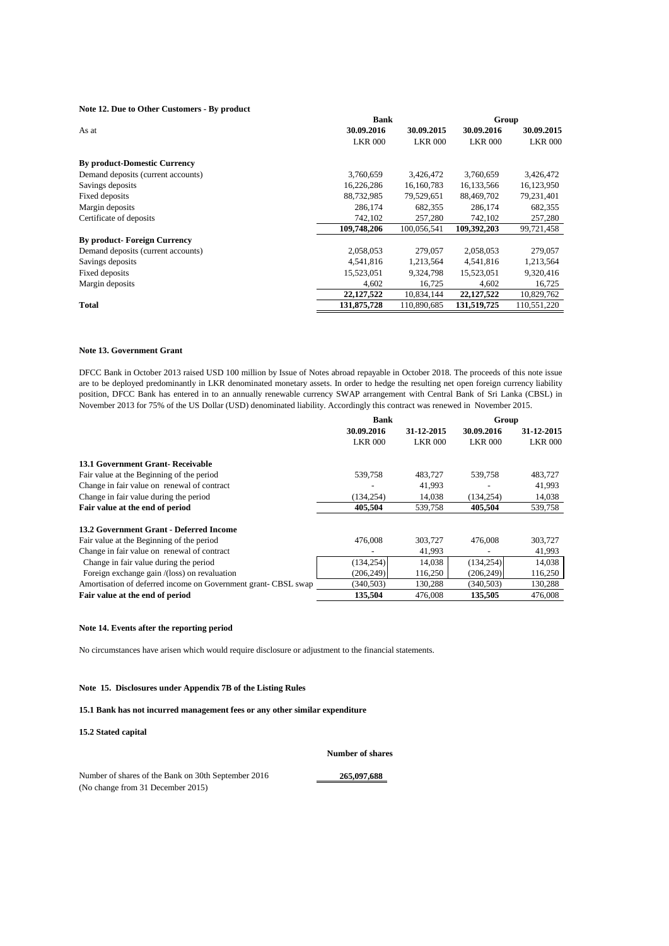## **Note 12. Due to Other Customers - By product**

|                                     | <b>Bank</b>    | Group          |                |                |  |
|-------------------------------------|----------------|----------------|----------------|----------------|--|
| As at                               | 30.09.2016     | 30.09.2015     | 30.09.2016     | 30.09.2015     |  |
|                                     | <b>LKR 000</b> | <b>LKR 000</b> | <b>LKR 000</b> | <b>LKR 000</b> |  |
| <b>By product-Domestic Currency</b> |                |                |                |                |  |
| Demand deposits (current accounts)  | 3,760,659      | 3,426,472      | 3,760,659      | 3,426,472      |  |
| Savings deposits                    | 16,226,286     | 16,160,783     | 16,133,566     | 16,123,950     |  |
| Fixed deposits                      | 88,732,985     | 79,529,651     | 88,469,702     | 79,231,401     |  |
| Margin deposits                     | 286,174        | 682,355        | 286,174        | 682,355        |  |
| Certificate of deposits             | 742,102        | 257,280        | 742.102        | 257,280        |  |
|                                     | 109,748,206    | 100,056,541    | 109,392,203    | 99,721,458     |  |
| <b>By product-Foreign Currency</b>  |                |                |                |                |  |
| Demand deposits (current accounts)  | 2,058,053      | 279,057        | 2.058.053      | 279,057        |  |
| Savings deposits                    | 4,541,816      | 1,213,564      | 4,541,816      | 1,213,564      |  |
| Fixed deposits                      | 15,523,051     | 9,324,798      | 15,523,051     | 9,320,416      |  |
| Margin deposits                     | 4,602          | 16,725         | 4,602          | 16,725         |  |
|                                     | 22,127,522     | 10,834,144     | 22, 127, 522   | 10,829,762     |  |
| <b>Total</b>                        | 131,875,728    | 110,890,685    | 131,519,725    | 110,551,220    |  |

## **Note 13. Government Grant**

DFCC Bank in October 2013 raised USD 100 million by Issue of Notes abroad repayable in October 2018. The proceeds of this note issue are to be deployed predominantly in LKR denominated monetary assets. In order to hedge the resulting net open foreign currency liability position, DFCC Bank has entered in to an annually renewable currency SWAP arrangement with Central Bank of Sri Lanka (CBSL) in November 2013 for 75% of the US Dollar (USD) denominated liability. Accordingly this contract was renewed in November 2015.

|                                                               | Bank           |                | Group          |                |  |
|---------------------------------------------------------------|----------------|----------------|----------------|----------------|--|
|                                                               | 30.09.2016     | 31-12-2015     | 30.09.2016     | 31-12-2015     |  |
|                                                               | <b>LKR 000</b> | <b>LKR 000</b> | <b>LKR 000</b> | <b>LKR 000</b> |  |
| 13.1 Government Grant-Receivable                              |                |                |                |                |  |
| Fair value at the Beginning of the period                     | 539,758        | 483,727        | 539,758        | 483,727        |  |
| Change in fair value on renewal of contract                   |                | 41.993         |                | 41,993         |  |
| Change in fair value during the period                        | (134.254)      | 14,038         | (134, 254)     | 14,038         |  |
| Fair value at the end of period                               | 405,504        | 539,758        | 405,504        | 539,758        |  |
| 13.2 Government Grant - Deferred Income                       |                |                |                |                |  |
| Fair value at the Beginning of the period                     | 476,008        | 303,727        | 476,008        | 303,727        |  |
| Change in fair value on renewal of contract                   |                | 41,993         |                | 41,993         |  |
| Change in fair value during the period                        | (134, 254)     | 14,038         | (134, 254)     | 14,038         |  |
| Foreign exchange gain /(loss) on revaluation                  | (206, 249)     | 116,250        | (206, 249)     | 116,250        |  |
| Amortisation of deferred income on Government grant-CBSL swap | (340, 503)     | 130,288        | (340, 503)     | 130,288        |  |
| Fair value at the end of period                               | 135,504        | 476,008        | 135,505        | 476,008        |  |

#### **Note 14. Events after the reporting period**

No circumstances have arisen which would require disclosure or adjustment to the financial statements.

## **Note 15. Disclosures under Appendix 7B of the Listing Rules**

## **15.1 Bank has not incurred management fees or any other similar expenditure**

**15.2 Stated capital**

**Number of shares**

Number of shares of the Bank on 30th September 2016 265,097,688 (No change from 31 December 2015)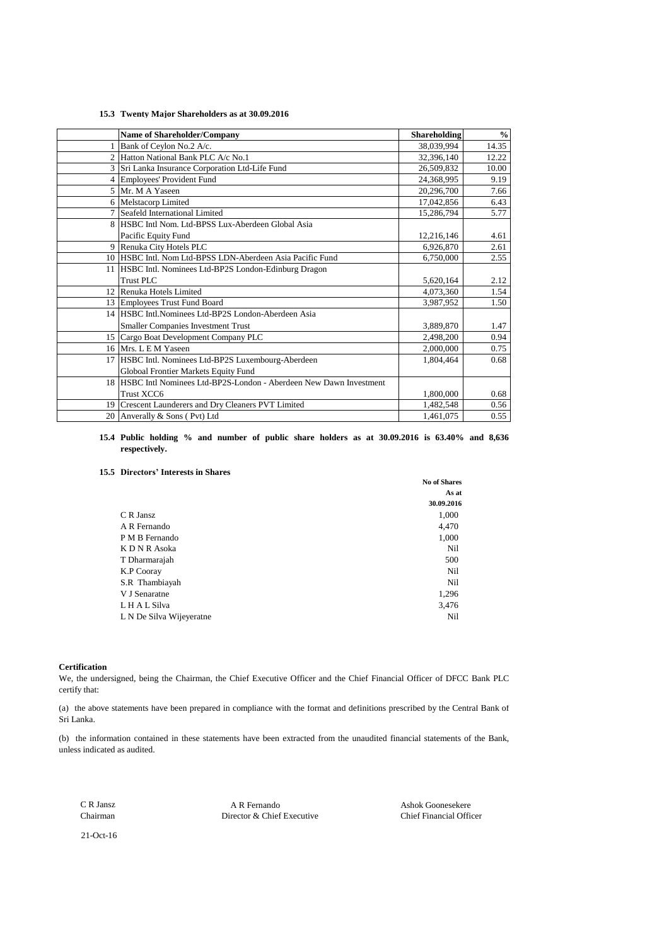### **15.3 Twenty Major Shareholders as at 30.09.2016**

|                | Name of Shareholder/Company                                          | <b>Shareholding</b> | $\frac{0}{0}$ |
|----------------|----------------------------------------------------------------------|---------------------|---------------|
|                | Bank of Ceylon No.2 A/c.                                             | 38,039,994          | 14.35         |
| $\overline{2}$ | Hatton National Bank PLC A/c No.1                                    | 32,396,140          | 12.22         |
|                | 3 Sri Lanka Insurance Corporation Ltd-Life Fund                      | 26,509,832          | 10.00         |
|                | 4 Employees' Provident Fund                                          | 24,368,995          | 9.19          |
|                | 5 Mr. M A Yaseen                                                     | 20,296,700          | 7.66          |
|                | 6 Melstacorp Limited                                                 | 17,042,856          | 6.43          |
|                | 7 Seafeld International Limited                                      | 15,286,794          | 5.77          |
| 8              | HSBC Intl Nom. Ltd-BPSS Lux-Aberdeen Global Asia                     |                     |               |
|                | Pacific Equity Fund                                                  | 12,216,146          | 4.61          |
|                | 9 Renuka City Hotels PLC                                             | 6,926,870           | 2.61          |
|                | 10 HSBC Intl. Nom Ltd-BPSS LDN-Aberdeen Asia Pacific Fund            | 6,750,000           | 2.55          |
|                | 11 HSBC Intl. Nominees Ltd-BP2S London-Edinburg Dragon               |                     |               |
|                | Trust PLC                                                            | 5,620,164           | 2.12          |
|                | 12 Renuka Hotels Limited                                             | 4,073,360           | 1.54          |
|                | 13 Employees Trust Fund Board                                        | 3,987,952           | 1.50          |
|                | 14 HSBC Intl. Nominees Ltd-BP2S London-Aberdeen Asia                 |                     |               |
|                | Smaller Companies Investment Trust                                   | 3,889,870           | 1.47          |
|                | 15 Cargo Boat Development Company PLC                                | 2,498,200           | 0.94          |
|                | 16 Mrs. L E M Yaseen                                                 | 2,000,000           | 0.75          |
|                | 17 HSBC Intl. Nominees Ltd-BP2S Luxembourg-Aberdeen                  | 1,804,464           | 0.68          |
|                | Globoal Frontier Markets Equity Fund                                 |                     |               |
|                | 18 HSBC Intl Nominees Ltd-BP2S-London - Aberdeen New Dawn Investment |                     |               |
|                | Trust XCC6                                                           | 1,800,000           | 0.68          |
|                | 19 Crescent Launderers and Dry Cleaners PVT Limited                  | 1,482,548           | 0.56          |
|                | 20 Anverally & Sons (Pvt) Ltd                                        | 1,461,075           | 0.55          |

#### **15.4 Public holding % and number of public share holders as at 30.09.2016 is 63.40% and 8,636 respectively.**

## **15.5 Directors' Interests in Shares**

|                          | <b>No of Shares</b> |
|--------------------------|---------------------|
|                          | As at               |
|                          | 30.09.2016          |
| C R Jansz                | 1,000               |
| A R Fernando             | 4,470               |
| P M B Fernando           | 1,000               |
| K D N R Asoka            | Nil                 |
| T Dharmarajah            | 500                 |
| <b>K.P Cooray</b>        | Nil                 |
| S.R Thambiayah           | Nil                 |
| V J Senaratne            | 1,296               |
| L H A L Silva            | 3,476               |
| L N De Silva Wijeyeratne | Nil                 |

## **Certification**

We, the undersigned, being the Chairman, the Chief Executive Officer and the Chief Financial Officer of DFCC Bank PLC certify that:

(a) the above statements have been prepared in compliance with the format and definitions prescribed by the Central Bank of Sri Lanka.

(b) the information contained in these statements have been extracted from the unaudited financial statements of the Bank, unless indicated as audited.

 C R Jansz A R Fernando Ashok Goonesekere Director & Chief Executive

21-Oct-16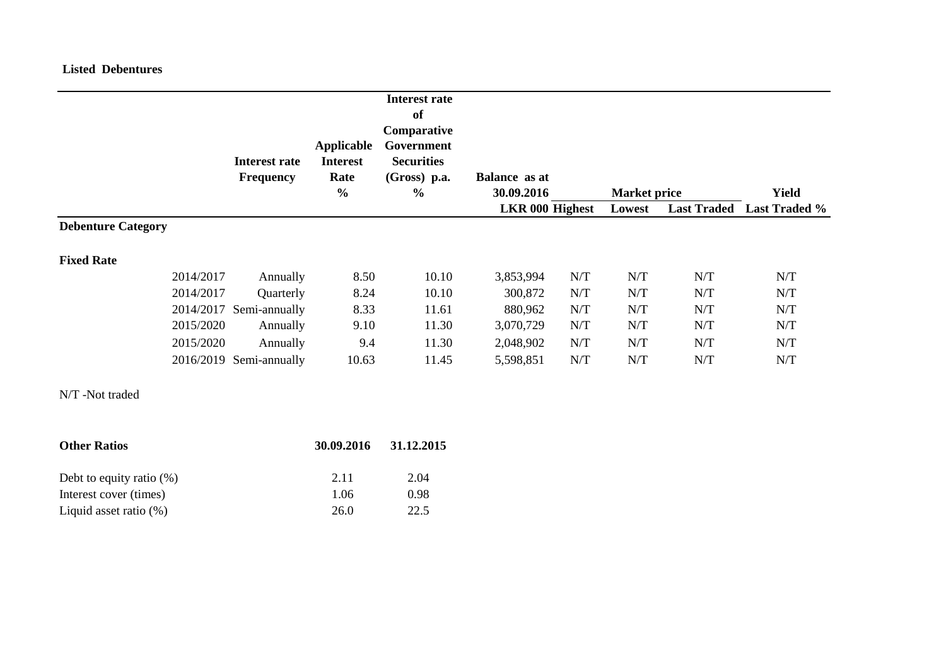# **Listed Debentures**

|                           |           | <b>Interest rate</b><br><b>Frequency</b> | <b>Applicable</b><br><b>Interest</b><br>Rate<br>$\frac{0}{0}$ | <b>Interest rate</b><br><b>of</b><br>Comparative<br>Government<br><b>Securities</b><br>(Gross) p.a.<br>$\frac{0}{0}$ | <b>Balance</b> as at<br>30.09.2016 |     | <b>Market price</b> |     | <b>Yield</b>                     |
|---------------------------|-----------|------------------------------------------|---------------------------------------------------------------|----------------------------------------------------------------------------------------------------------------------|------------------------------------|-----|---------------------|-----|----------------------------------|
|                           |           |                                          |                                                               |                                                                                                                      | LKR 000 Highest                    |     | Lowest              |     | <b>Last Traded</b> Last Traded % |
| <b>Debenture Category</b> |           |                                          |                                                               |                                                                                                                      |                                    |     |                     |     |                                  |
| <b>Fixed Rate</b>         |           |                                          |                                                               |                                                                                                                      |                                    |     |                     |     |                                  |
|                           | 2014/2017 | Annually                                 | 8.50                                                          | 10.10                                                                                                                | 3,853,994                          | N/T | N/T                 | N/T | N/T                              |
|                           | 2014/2017 | Quarterly                                | 8.24                                                          | 10.10                                                                                                                | 300,872                            | N/T | N/T                 | N/T | N/T                              |
|                           | 2014/2017 | Semi-annually                            | 8.33                                                          | 11.61                                                                                                                | 880,962                            | N/T | N/T                 | N/T | N/T                              |
|                           | 2015/2020 | Annually                                 | 9.10                                                          | 11.30                                                                                                                | 3,070,729                          | N/T | N/T                 | N/T | N/T                              |
|                           | 2015/2020 | Annually                                 | 9.4                                                           | 11.30                                                                                                                | 2,048,902                          | N/T | N/T                 | N/T | N/T                              |
|                           |           | 2016/2019 Semi-annually                  | 10.63                                                         | 11.45                                                                                                                | 5,598,851                          | N/T | N/T                 | N/T | N/T                              |
| N/T-Not traded            |           |                                          |                                                               |                                                                                                                      |                                    |     |                     |     |                                  |
| <b>Other Ratios</b>       |           |                                          | 30.09.2016                                                    | 31.12.2015                                                                                                           |                                    |     |                     |     |                                  |

| Debt to equity ratio $(\%)$ | 2.11 | 2.04 |
|-----------------------------|------|------|
| Interest cover (times)      | 1.06 | 0.98 |
| Liquid asset ratio $(\%)$   | 26.0 | 22.5 |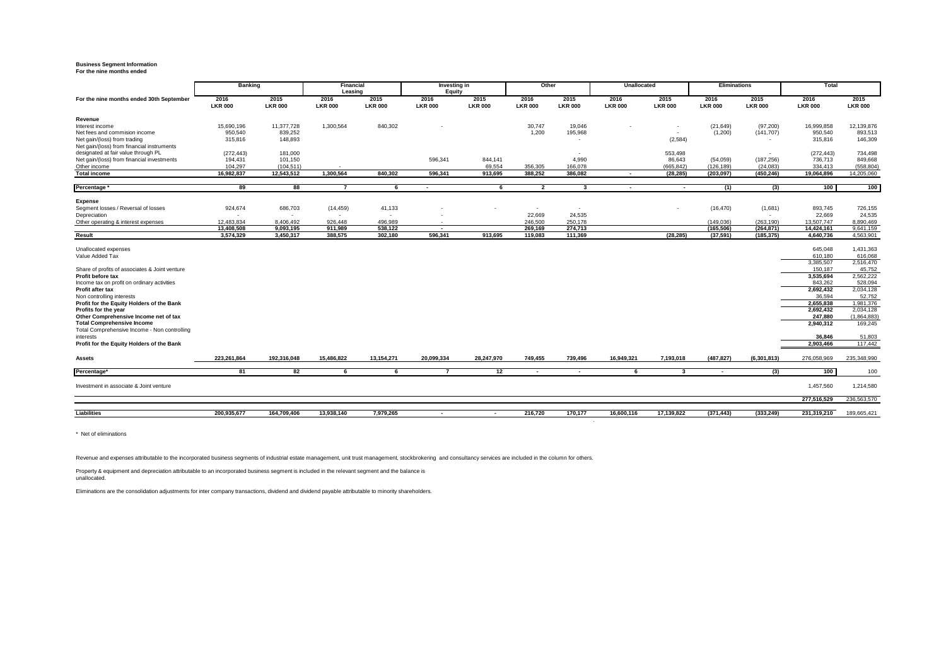# **Business Segment Information For the nine months ended**

|                                                | <b>Banking</b>         |                          | Financial<br>Leasing   |                          | Investing in<br>Equity   |                        | Other                    |                          | <b>Unallocated</b>       |                          | <b>Eliminations</b>    |                          | <b>Total</b>           |                        |
|------------------------------------------------|------------------------|--------------------------|------------------------|--------------------------|--------------------------|------------------------|--------------------------|--------------------------|--------------------------|--------------------------|------------------------|--------------------------|------------------------|------------------------|
| For the nine months ended 30th September       | 2016<br><b>LKR 000</b> | 2015<br><b>LKR 000</b>   | 2016<br><b>LKR 000</b> | 2015<br><b>LKR 000</b>   | 2016<br><b>LKR 000</b>   | 2015<br><b>LKR 000</b> | 2016<br><b>LKR 000</b>   | 2015<br><b>LKR 000</b>   | 2016<br><b>LKR 000</b>   | 2015<br><b>LKR 000</b>   | 2016<br><b>LKR 000</b> | 2015<br><b>LKR 000</b>   | 2016<br><b>LKR 000</b> | 2015<br><b>LKR 000</b> |
| Revenue                                        |                        |                          |                        |                          |                          |                        |                          |                          |                          |                          |                        |                          |                        |                        |
| Interest income                                | 15,690,196             | 11.377.728               | 1,300,564              | 840,302                  |                          |                        | 30,747                   | 19.046                   |                          |                          | (21, 649)              | (97, 200)                | 16.999.858             | 12,139,876             |
| Net fees and commision income                  | 950,540                | 839,252                  |                        |                          |                          |                        | 1,200                    | 195,968                  |                          | $\overline{\phantom{a}}$ | (1,200)                | (141, 707)               | 950,540                | 893,513                |
| Net gain/(loss) from trading                   | 315,816                | 148.893                  |                        |                          |                          |                        |                          | $\overline{\phantom{a}}$ |                          | (2,584)                  |                        | $\sim$                   | 315,816                | 146,309                |
| Net gain/(loss) from financial instruments     |                        |                          |                        |                          |                          |                        |                          |                          |                          |                          |                        |                          |                        |                        |
| designated at fair value through PL            | (272, 443)             | 181,000                  |                        |                          |                          |                        |                          |                          |                          | 553,498                  |                        | $\overline{\phantom{a}}$ | (272, 443)             | 734,498                |
| Net gain/(loss) from financial investments     | 194,431                | 101,150                  |                        |                          | 596,341                  | 844,141                |                          | 4.990                    |                          | 86,643                   | (54,059)               | (187, 256)               | 736,713                | 849,668                |
| Other income                                   | 104.297                | (104.511)                |                        |                          |                          | 69.554                 | 356.305                  | 166.078                  |                          | (665, 842)               | (126.189)              | (24.083)                 | 334.413                | (558, 804)             |
| <b>Total income</b>                            | 16,982,837             | 12,543,512               | 1.300.564              | 840.302                  | 596.341                  | 913,695                | 388.252                  | 386.082                  | $\overline{\phantom{a}}$ | (28, 285)                | (203, 097)             | (450, 246)               | 19,064,896             | 14,205,060             |
| Percentage                                     | 89                     | 88                       | $\overline{7}$         | - 6                      | $\overline{\phantom{a}}$ | 6                      | $\overline{2}$           | 3                        | $\overline{\phantom{a}}$ | $\sim$                   | (1)                    | (3)                      | 100                    | 100                    |
|                                                |                        |                          |                        |                          |                          |                        |                          |                          |                          |                          |                        |                          |                        |                        |
| <b>Expense</b>                                 |                        |                          |                        |                          |                          |                        |                          |                          |                          |                          |                        |                          |                        |                        |
| Segment losses / Reversal of losses            | 924,674                | 686,703                  | (14, 459)              | 41,133                   |                          |                        | $\overline{\phantom{a}}$ | $\overline{\phantom{a}}$ |                          |                          | (16, 470)              | (1,681)                  | 893,745                | 726,155                |
| Depreciation                                   |                        | $\overline{\phantom{a}}$ |                        | $\overline{\phantom{a}}$ |                          |                        | 22,669                   | 24,535                   |                          |                          |                        | $\overline{\phantom{a}}$ | 22,669                 | 24,535                 |
| Other operating & interest expenses            | 12.483.834             | 8.406.492                | 926.448                | 496.989                  |                          |                        | 246,500                  | 250.178                  |                          |                          | (149.036)              | (263.190)                | 13,507,747             | 8,890,469              |
|                                                | 13,408,508             | 9,093,195                | 911,989                | 538,122                  |                          |                        | 269,169                  | 274,713                  |                          |                          | (165, 506)             | (264, 871)               | 14,424,161             | 9,641,159              |
| Result                                         | 3,574,329              | 3,450,317                | 388,575                | 302,180                  | 596,341                  | 913,695                | 119,083                  | 111,369                  |                          | (28, 285)                | (37, 591)              | (185, 375)               | 4,640,736              | 4,563,901              |
| Unallocated expenses                           |                        |                          |                        |                          |                          |                        |                          |                          |                          |                          |                        |                          | 645,048                | 1,431,363              |
| Value Added Tax                                |                        |                          |                        |                          |                          |                        |                          |                          |                          |                          |                        |                          | 610.180                | 616,068                |
|                                                |                        |                          |                        |                          |                          |                        |                          |                          |                          |                          |                        |                          | 3.385.507              | 2,516,470              |
| Share of profits of associates & Joint venture |                        |                          |                        |                          |                          |                        |                          |                          |                          |                          |                        |                          | 150,187                | 45,752                 |
| Profit before tax                              |                        |                          |                        |                          |                          |                        |                          |                          |                          |                          |                        |                          | 3.535.694              | 2.562.222              |
| Income tax on profit on ordinary activities    |                        |                          |                        |                          |                          |                        |                          |                          |                          |                          |                        |                          | 843,262                | 528,094                |
| Profit after tax                               |                        |                          |                        |                          |                          |                        |                          |                          |                          |                          |                        |                          | 2,692,432              | 2,034,128              |
| Non controlling interests                      |                        |                          |                        |                          |                          |                        |                          |                          |                          |                          |                        |                          | 36,594                 | 52,752                 |
| Profit for the Equity Holders of the Bank      |                        |                          |                        |                          |                          |                        |                          |                          |                          |                          |                        |                          | 2.655.838              | 1.981.376              |
| Profits for the year                           |                        |                          |                        |                          |                          |                        |                          |                          |                          |                          |                        |                          | 2,692,432              | 2,034,128              |
| Other Comprehensive Income net of tax          |                        |                          |                        |                          |                          |                        |                          |                          |                          |                          |                        |                          | 247.880                | (1,864,883)            |
| <b>Total Comprehensive Income</b>              |                        |                          |                        |                          |                          |                        |                          |                          |                          |                          |                        |                          | 2,940,312              | 169,245                |
| Total Comprehensive Income - Non controlling   |                        |                          |                        |                          |                          |                        |                          |                          |                          |                          |                        |                          |                        |                        |
| interests                                      |                        |                          |                        |                          |                          |                        |                          |                          |                          |                          |                        |                          | 36,846                 | 51,803                 |
| Profit for the Equity Holders of the Bank      |                        |                          |                        |                          |                          |                        |                          |                          |                          |                          |                        |                          | 2,903,466              | 117,442                |
| Assets                                         | 223.261.864            | 192.316.048              | 15.486.822             | 13.154.271               | 20.099.334               | 28.247.970             | 749.455                  | 739.496                  | 16.949.321               | 7.193.018                | (487.827)              | (6, 301, 813)            | 276.058.969            | 235,348,990            |
| Percentage <sup>®</sup>                        | 81                     | 82                       | 6                      | 6                        | $\overline{7}$           | 12                     | $\overline{\phantom{a}}$ | $\sim$                   | 6                        | $\mathbf{3}$             | $\sim$                 | (3)                      | 100                    | 100                    |
| Investment in associate & Joint venture        |                        |                          |                        |                          |                          |                        |                          |                          |                          |                          |                        |                          | 1,457,560              | 1,214,580              |
|                                                |                        |                          |                        |                          |                          |                        |                          |                          |                          |                          |                        |                          | 277,516,529            | 236,563,570            |
| <b>Liabilities</b>                             | 200.935.677            | 164.709.406              | 13.938.140             | 7.979.265                | $\overline{\phantom{a}}$ | $\sim$                 | 216.720                  | 170.177                  | 16.600.116               | 17.139.822               | (371.443)              | (333, 249)               | 231,319,210            | 189.665.421            |
|                                                |                        |                          |                        |                          |                          |                        |                          |                          |                          |                          |                        |                          |                        |                        |

\* Net of eliminations

Revenue and expenses attributable to the incorporated business segments of industrial estate management, unit trust management, stockbrokering and consultancy services are included in the column for others.

Property & equipment and depreciation attributable to an incorporated business segment is included in the relevant segment and the balance is unallocated.

Eliminations are the consolidation adjustments for inter company transactions, dividend and dividend payable attributable to minority shareholders.